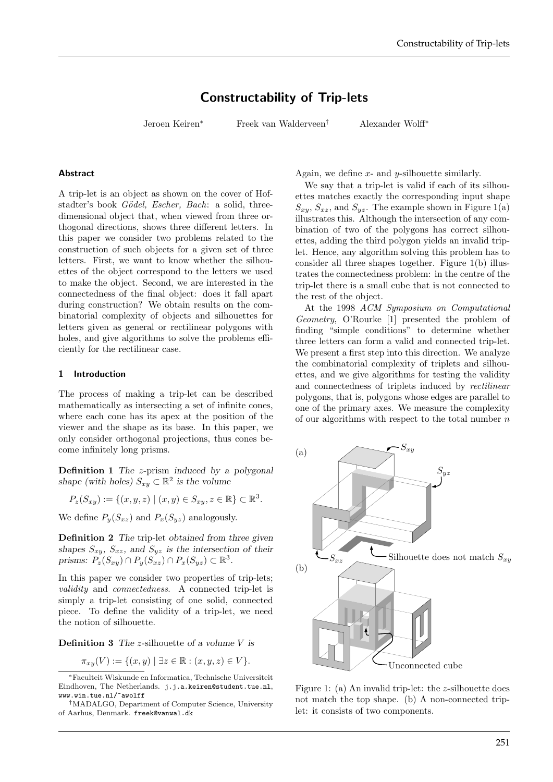# Constructability of Trip-lets

Jeroen Keiren<sup>∗</sup> Freek van Walderveen† Alexander Wolff<sup>∗</sup>

# Abstract

A trip-let is an object as shown on the cover of Hofstadter's book Gödel, Escher, Bach: a solid, threedimensional object that, when viewed from three orthogonal directions, shows three different letters. In this paper we consider two problems related to the construction of such objects for a given set of three letters. First, we want to know whether the silhouettes of the object correspond to the letters we used to make the object. Second, we are interested in the connectedness of the final object: does it fall apart during construction? We obtain results on the combinatorial complexity of objects and silhouettes for letters given as general or rectilinear polygons with holes, and give algorithms to solve the problems efficiently for the rectilinear case.

## 1 Introduction

The process of making a trip-let can be described mathematically as intersecting a set of infinite cones, where each cone has its apex at the position of the viewer and the shape as its base. In this paper, we only consider orthogonal projections, thus cones become infinitely long prisms.

Definition 1 The z-prism induced by a polygonal shape (with holes)  $S_{xy} \subset \mathbb{R}^2$  is the volume

$$
P_z(S_{xy}) := \{(x, y, z) \mid (x, y) \in S_{xy}, z \in \mathbb{R}\} \subset \mathbb{R}^3.
$$

We define  $P_y(S_{xz})$  and  $P_x(S_{yz})$  analogously.

Definition 2 The trip-let obtained from three given shapes  $S_{xy}$ ,  $S_{xz}$ , and  $S_{yz}$  is the intersection of their prisms:  $P_z(S_{xy}) \cap P_y(S_{xz}) \cap P_x(S_{yz}) \subset \mathbb{R}^3$ .

In this paper we consider two properties of trip-lets; validity and connectedness. A connected trip-let is simply a trip-let consisting of one solid, connected piece. To define the validity of a trip-let, we need the notion of silhouette.

**Definition 3** The *z*-silhouette of a volume  $V$  is

$$
\pi_{xy}(V) := \{(x, y) \mid \exists z \in \mathbb{R} : (x, y, z) \in V\}.
$$

Again, we define  $x$ - and  $y$ -silhouette similarly.

We say that a trip-let is valid if each of its silhouettes matches exactly the corresponding input shape  $S_{xy}$ ,  $S_{xz}$ , and  $S_{yz}$ . The example shown in Figure 1(a) illustrates this. Although the intersection of any combination of two of the polygons has correct silhouettes, adding the third polygon yields an invalid triplet. Hence, any algorithm solving this problem has to consider all three shapes together. Figure 1(b) illustrates the connectedness problem: in the centre of the trip-let there is a small cube that is not connected to the rest of the object.

At the 1998 ACM Symposium on Computational Geometry, O'Rourke [1] presented the problem of finding "simple conditions" to determine whether three letters can form a valid and connected trip-let. We present a first step into this direction. We analyze the combinatorial complexity of triplets and silhouettes, and we give algorithms for testing the validity and connectedness of triplets induced by rectilinear polygons, that is, polygons whose edges are parallel to one of the primary axes. We measure the complexity of our algorithms with respect to the total number  $n$ 



Figure 1: (a) An invalid trip-let: the z-silhouette does not match the top shape. (b) A non-connected triplet: it consists of two components.

<sup>∗</sup>Faculteit Wiskunde en Informatica, Technische Universiteit Eindhoven, The Netherlands. j.j.a.keiren@student.tue.nl, www.win.tue.nl/~awolff

<sup>†</sup>MADALGO, Department of Computer Science, University of Aarhus, Denmark. freek@vanwal.dk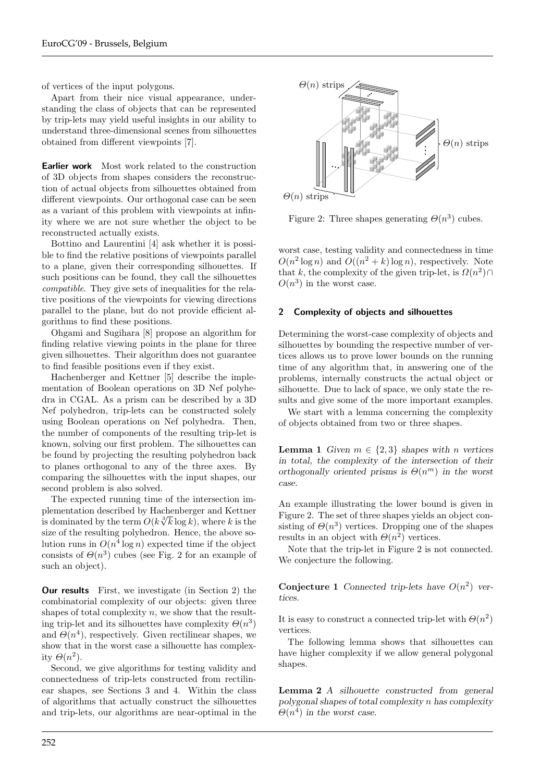of vertices of the input polygons.

Apart from their nice visual appearance, understanding the class of objects that can be represented by trip-lets may yield useful insights in our ability to understand three-dimensional scenes from silhouettes obtained from different viewpoints [7].

Earlier work Most work related to the construction of 3D objects from shapes considers the reconstruction of actual objects from silhouettes obtained from different viewpoints. Our orthogonal case can be seen as a variant of this problem with viewpoints at infinity where we are not sure whether the object to be reconstructed actually exists.

Bottino and Laurentini [4] ask whether it is possible to find the relative positions of viewpoints parallel to a plane, given their corresponding silhouettes. If such positions can be found, they call the silhouettes compatible. They give sets of inequalities for the relative positions of the viewpoints for viewing directions parallel to the plane, but do not provide efficient algorithms to find these positions.

Ohgami and Sugihara [8] propose an algorithm for finding relative viewing points in the plane for three given silhouettes. Their algorithm does not guarantee to find feasible positions even if they exist.

Hachenberger and Kettner [5] describe the implementation of Boolean operations on 3D Nef polyhedra in CGAL. As a prism can be described by a 3D Nef polyhedron, trip-lets can be constructed solely using Boolean operations on Nef polyhedra. Then, the number of components of the resulting trip-let is known, solving our first problem. The silhouettes can be found by projecting the resulting polyhedron back to planes orthogonal to any of the three axes. By comparing the silhouettes with the input shapes, our second problem is also solved.

The expected running time of the intersection implementation described by Hachenberger and Kettner is dominated by the term  $O(k\sqrt[3]{k}\log k)$ , where k is the size of the resulting polyhedron. Hence, the above solution runs in  $O(n^4 \log n)$  expected time if the object consists of  $\Theta(n^3)$  cubes (see Fig. 2 for an example of such an object).

Our results First, we investigate (in Section 2) the combinatorial complexity of our objects: given three shapes of total complexity  $n$ , we show that the resulting trip-let and its silhouettes have complexity  $\Theta(n^3)$ and  $\Theta(n^4)$ , respectively. Given rectilinear shapes, we show that in the worst case a silhouette has complexity  $\Theta(n^2)$ .

Second, we give algorithms for testing validity and connectedness of trip-lets constructed from rectilinear shapes, see Sections 3 and 4. Within the class of algorithms that actually construct the silhouettes and trip-lets, our algorithms are near-optimal in the



Figure 2: Three shapes generating  $\Theta(n^3)$  cubes.

worst case, testing validity and connectedness in time  $O(n^2 \log n)$  and  $O((n^2 + k) \log n)$ , respectively. Note that k, the complexity of the given trip-let, is  $\Omega(n^2) \cap$  $O(n^3)$  in the worst case.

## 2 Complexity of objects and silhouettes

Determining the worst-case complexity of objects and silhouettes by bounding the respective number of vertices allows us to prove lower bounds on the running time of any algorithm that, in answering one of the problems, internally constructs the actual object or silhouette. Due to lack of space, we only state the results and give some of the more important examples.

We start with a lemma concerning the complexity of objects obtained from two or three shapes.

**Lemma 1** Given  $m \in \{2,3\}$  shapes with n vertices in total, the complexity of the intersection of their orthogonally oriented prisms is  $\Theta(n^m)$  in the worst case.

An example illustrating the lower bound is given in Figure 2. The set of three shapes yields an object consisting of  $\Theta(n^3)$  vertices. Dropping one of the shapes results in an object with  $\Theta(n^2)$  vertices.

Note that the trip-let in Figure 2 is not connected. We conjecture the following.

Conjecture 1 Connected trip-lets have  $O(n^2)$  vertices.

It is easy to construct a connected trip-let with  $\Theta(n^2)$ vertices.

The following lemma shows that silhouettes can have higher complexity if we allow general polygonal shapes.

Lemma 2 A silhouette constructed from general polygonal shapes of total complexity n has complexity  $\Theta(n^4)$  in the worst case.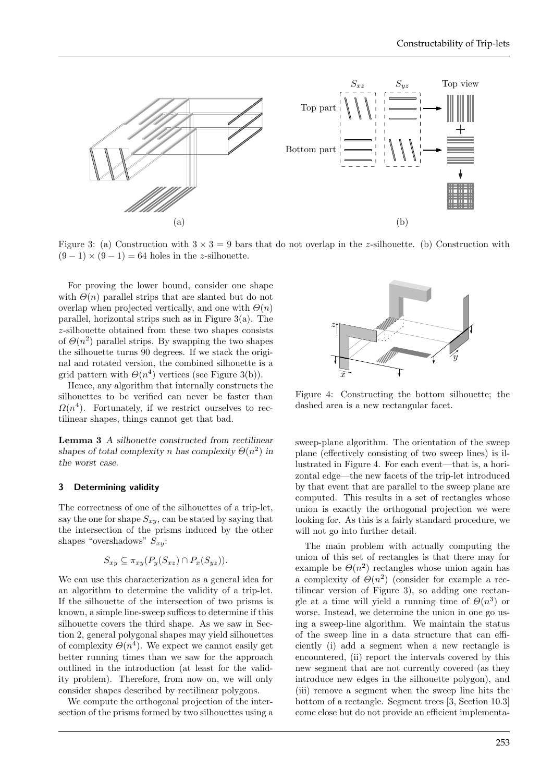

Figure 3: (a) Construction with  $3 \times 3 = 9$  bars that do not overlap in the z-silhouette. (b) Construction with  $(9-1) \times (9-1) = 64$  holes in the z-silhouette.

For proving the lower bound, consider one shape with  $\Theta(n)$  parallel strips that are slanted but do not overlap when projected vertically, and one with  $\Theta(n)$ parallel, horizontal strips such as in Figure 3(a). The z-silhouette obtained from these two shapes consists of  $\Theta(n^2)$  parallel strips. By swapping the two shapes the silhouette turns 90 degrees. If we stack the original and rotated version, the combined silhouette is a grid pattern with  $\Theta(n^4)$  vertices (see Figure 3(b)).

Hence, any algorithm that internally constructs the silhouettes to be verified can never be faster than  $\Omega(n^4)$ . Fortunately, if we restrict ourselves to rectilinear shapes, things cannot get that bad.

Lemma 3 A silhouette constructed from rectilinear shapes of total complexity n has complexity  $\Theta(n^2)$  in the worst case.

## 3 Determining validity

The correctness of one of the silhouettes of a trip-let, say the one for shape  $S_{xy}$ , can be stated by saying that the intersection of the prisms induced by the other shapes "overshadows"  $S_{x,y}$ :

$$
S_{xy} \subseteq \pi_{xy}(P_y(S_{xz}) \cap P_x(S_{yz})).
$$

We can use this characterization as a general idea for an algorithm to determine the validity of a trip-let. If the silhouette of the intersection of two prisms is known, a simple line-sweep suffices to determine if this silhouette covers the third shape. As we saw in Section 2, general polygonal shapes may yield silhouettes of complexity  $\Theta(n^4)$ . We expect we cannot easily get better running times than we saw for the approach outlined in the introduction (at least for the validity problem). Therefore, from now on, we will only consider shapes described by rectilinear polygons.

We compute the orthogonal projection of the intersection of the prisms formed by two silhouettes using a



Figure 4: Constructing the bottom silhouette; the dashed area is a new rectangular facet.

sweep-plane algorithm. The orientation of the sweep plane (effectively consisting of two sweep lines) is illustrated in Figure 4. For each event—that is, a horizontal edge—the new facets of the trip-let introduced by that event that are parallel to the sweep plane are computed. This results in a set of rectangles whose union is exactly the orthogonal projection we were looking for. As this is a fairly standard procedure, we will not go into further detail.

The main problem with actually computing the union of this set of rectangles is that there may for example be  $\Theta(n^2)$  rectangles whose union again has a complexity of  $\Theta(n^2)$  (consider for example a rectilinear version of Figure 3), so adding one rectangle at a time will yield a running time of  $\Theta(n^3)$  or worse. Instead, we determine the union in one go using a sweep-line algorithm. We maintain the status of the sweep line in a data structure that can efficiently (i) add a segment when a new rectangle is encountered, (ii) report the intervals covered by this new segment that are not currently covered (as they introduce new edges in the silhouette polygon), and (iii) remove a segment when the sweep line hits the bottom of a rectangle. Segment trees [3, Section 10.3] come close but do not provide an efficient implementa-